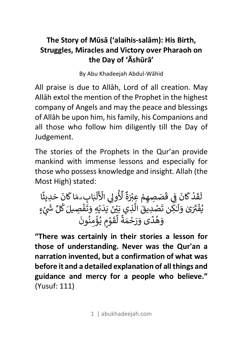## **The Story of Mūsā ('alaihis-salām): His Birth, Struggles, Miracles and Victory over Pharaoh on the Day of 'Āshūrā'**

By Abu Khadeejah Abdul-Wāhid

All praise is due to Allāh, Lord of all creation. May Allāh extol the mention of the Prophet in the highest company of Angels and may the peace and blessings of Allāh be upon him, his family, his Companions and all those who follow him diligently till the Day of Judgement.

The stories of the Prophets in the Qur'an provide mankind with immense lessons and especially for those who possess knowledge and insight. Allah (the Most High) stated:

ل R ق د َ ْ W ان R َ Z [ ق ِ[ ص َ م ِ ِصه َ ِعcd ْ ة َْ لأ ٌ الأ ِ[وk ِّ ُ َ ْ ل m n اW َۗ م ِ اب َ ان R ح َ ِديث َ ً ا v ف ُ ْ cx َ و ٰى َ َ ل َ ـ <sup>ت</sup> ِ <sup>ن</sup> ـ| ٰ ص َ ال َ ِديق ْ ÑÖ َ ِذي <sup>ب</sup> <sup>Ä</sup> ْ [ َ v د َ َ v َ ِه و ْ ت َ ف áل ِص ْ َ W َ ِّ äã <sup>ل</sup> <sup>â</sup> ] ٍء ْ و ه َ د ُ <sup>ى</sup> <sup>و</sup> ً ر َ ح َ م ْ ة َ ً ل í ق و َ ي ٍم ْ ؤ ُ ْ م ن ِ ون ُ َ

**"There was certainly in their stories a lesson for those of understanding. Never was the Qur'an a narration invented, but a confirmation of what was before it and a detailed explanation of all things and guidance and mercy for a people who believe."** (Yusuf: 111)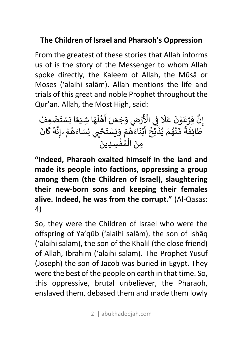## **The Children of Israel and Pharaoh's Oppression**

From the greatest of these stories that Allah informs us of is the story of the Messenger to whom Allah spoke directly, the Kaleem of Allah, the Mūsā or Moses ('alaihi salām). Allah mentions the life and trials of this great and noble Prophet throughout the Qur'an. Allah, the Most High, said:

إ نَّ فِرْعَوْنَ عَلَا فِي الْأَرْضِ وَجَعَلَ أَهْلَهَا شِيَعًا يَسْتَضْعِفُ<br>يَسْتَخْفَرُونَ عَلَا فِي الْأَرْضِ <u>׀</u> [ R ֦֧<u>֝</u> R ُن بِرَكُون كَلاَ يِي الْأَرْضِ وَجَمَل اللّهُ مِنْدَ بِسَنْصُحِكَ<br>طَائِفَةً مِّنْهُمْ يُذَبِّحُ أَبْنَاءَهُمْ وَيَسْتَحْيِي نِسَاءَهُمْ ۚ إِنَّهُ كَانَ ֦֧<u>֓</u> َ R ֧֦֧֚֡֓<u>֓</u> َ َّ َ بَعَدَهم ويَسْتَعْبَ<br>مِنَ الْمُفْسِدِينَ m َ

**"Indeed, Pharaoh exalted himself in the land and made its people into factions, oppressing a group among them (the Children of Israel), slaughtering their new-born sons and keeping their females alive. Indeed, he was from the corrupt."** (Al-Qasas: 4)

So, they were the Children of Israel who were the offspring of Ya'qūb ('alaihi salām), the son of Ishāq ('alaihi salām), the son of the Khalīl (the close friend) of Allah, Ibrāhīm ('alaihi salām). The Prophet Yusuf (Joseph) the son of Jacob was buried in Egypt. They were the best of the people on earth in that time. So, this oppressive, brutal unbeliever, the Pharaoh, enslaved them, debased them and made them lowly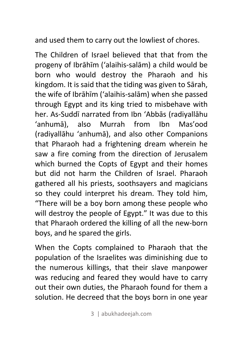and used them to carry out the lowliest of chores.

The Children of Israel believed that that from the progeny of Ibrāhīm ('alaihis-salām) a child would be born who would destroy the Pharaoh and his kingdom. It is said that the tiding was given to Sārah, the wife of Ibrāhīm ('alaihis-salām) when she passed through Egypt and its king tried to misbehave with her. As-Suddī narrated from Ibn 'Abbās (radiyallāhu 'anhumā), also Murrah from Ibn Mas'ood (radiyallāhu 'anhumā), and also other Companions that Pharaoh had a frightening dream wherein he saw a fire coming from the direction of Jerusalem which burned the Copts of Egypt and their homes but did not harm the Children of Israel. Pharaoh gathered all his priests, soothsayers and magicians so they could interpret his dream. They told him, "There will be a boy born among these people who will destroy the people of Egypt." It was due to this that Pharaoh ordered the killing of all the new-born boys, and he spared the girls.

When the Copts complained to Pharaoh that the population of the Israelites was diminishing due to the numerous killings, that their slave manpower was reducing and feared they would have to carry out their own duties, the Pharaoh found for them a solution. He decreed that the boys born in one year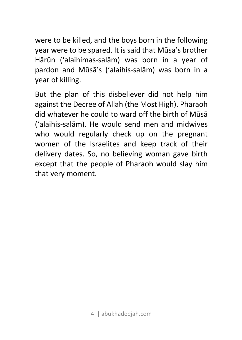were to be killed, and the boys born in the following year were to be spared. It is said that Mūsa's brother Hārūn ('alaihimas-salām) was born in a year of pardon and Mūsā's ('alaihis-salām) was born in a year of killing.

But the plan of this disbeliever did not help him against the Decree of Allah (the Most High). Pharaoh did whatever he could to ward off the birth of Mūsā ('alaihis-salām). He would send men and midwives who would regularly check up on the pregnant women of the Israelites and keep track of their delivery dates. So, no believing woman gave birth except that the people of Pharaoh would slay him that very moment.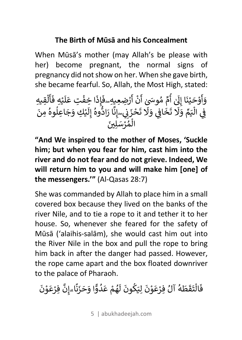#### **The Birth of Mūsā and his Concealment**

When Mūsā's mother (may Allah's be please with her) become pregnant, the normal signs of pregnancy did not show on her. When she gave birth, she became fearful. So, Allah, the Most High, stated:

وَأَوْحَيْنَا إِلَىٰ أُمِّ مُوسَىِٰ أَنْ أَرْضِعِيهِ فَإِذَا خِفْتِ عَلَيْهِ فَأَلْقِيهِ َ أ R R â R R َ ِ َR َ R دارحـينا إِلى ٣م سوسى ٥٦ (رَضِعِيدِ= عَادَا كِـَـعْبِ عَديدِ تَّحْيِدِينَ مِنْ الْمَرْضَى<br>فِي الْيَمِّ وَلَا تَخَافِي وَلَا تَحْزَِنِي إِنَّا رَادُّوهُ إِلَيْكِ وَجَاعِلُوهُ مِنَ [ m [ ;  $\frac{1}{2}$ .<br>R َ ري<br>الْمُرْسَلِّينَ m ]ؚ<br>ا

**"And We inspired to the mother of Moses, 'Suckle him; but when you fear for him, cast him into the river and do not fear and do not grieve. Indeed, We will return him to you and will make him [one] of the messengers.'"** (Al-Qasas 28:7)

She was commanded by Allah to place him in a small covered box because they lived on the banks of the river Nile, and to tie a rope to it and tether it to her house. So, whenever she feared for the safety of Mūsā ('alaihis-salām), she would cast him out into the River Nile in the box and pull the rope to bring him back in after the danger had passed. However, the rope came apart and the box floated downriver to the palace of Pharaoh.

فَالْتَقَطَهُ آلُ فِرْعَوْنَ لِيَكُونَ لَهُمْ عَدُوًّا وَحَزَنًا ٍإِنَّ فِرْعَوْنَ َ m َ R َ َ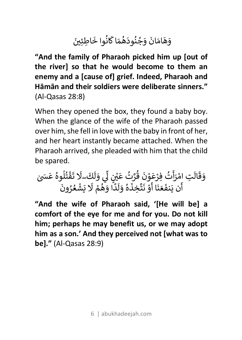#### وَهَامَانَ وَجُنُودَهُمَا كَانُوا خَاطِئِينَ R ]َ

**"And the family of Pharaoh picked him up [out of the river] so that he would become to them an enemy and a [cause of] grief. Indeed, Pharaoh and Hāmān and their soldiers were deliberate sinners."** (Al-Qasas 28:8)

When they opened the box, they found a baby boy. When the glance of the wife of the Pharaoh passed over him, she fell in love with the baby in front of her, and her heart instantly became attached. When the Pharaoh arrived, she pleaded with him that the child be spared.

و ق َ َ ال ام ِت R ر ْ َ أ ت R ِفر ُ ع ْ و َ ن ْ ق َ ُ <sup>ع</sup> ُ َّ <sup>ت</sup> <sup>ر</sup> َ ÑÖ ْ [ k ‹ í و [ َ ل ك R ۖ لا َ ت َ َ ق ْ ت ُ ل وە â ٰ َ َ‹ <sup>ع</sup> ُ أ ن ي R نف َ ع َ ن َ ا أ َ R و ن ْ َ ت ِخذ َّ َ ە و ُ َ ل R د ا و ً ه َ م ُ لا ْ َ ® ش َ ع ْ ر ُ ون ُ َ

**"And the wife of Pharaoh said, '[He will be] a comfort of the eye for me and for you. Do not kill him; perhaps he may benefit us, or we may adopt him as a son.' And they perceived not [what was to be]."** (Al-Qasas 28:9)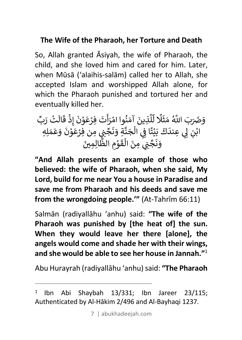#### **The Wife of the Pharaoh, her Torture and Death**

So, Allah granted Āsiyah, the wife of Pharaoh, the child, and she loved him and cared for him. Later, when Mūsā ('alaihis-salām) called her to Allah, she accepted Islam and worshipped Allah alone, for which the Pharaoh punished and tortured her and eventually killed her.

وَضَرَبَ اللَّهُ مَثَلًا لِّلَّذِينَ آمَنُوا امْرَأَتَ فِرْعَوْنَ إِذْ قَالَتْ رَبِّ í ؚ<br>ا أ  $\cdot$ َ ِّ عرب الله سلار سيون السوار المراب على السياب المسلمين.<br>ابْنِ لِي عِندَكَ بَيْتًا فِي الْجَنَّةِ وَنَجِّنٍي مِن فِرْعَوْنَ وَعَمَلِهِ ֧֚֝<u>֓</u> ֦֧<u>֝</u> .<br>.<br>. َ. بين <sub>ك</sub>ي الجندِ وكبي مِن *:*<br>وَنَجِّنِي مِنَ الْقَوْمِ الظَّالِمِينَ َ m ]َ

**"And Allah presents an example of those who believed: the wife of Pharaoh, when she said, My Lord, build for me near You a house in Paradise and save me from Pharaoh and his deeds and save me from the wrongdoing people.'"** (At-Tahrīm 66:11)

Salmān (radiyallāhu 'anhu) said: **"The wife of the Pharaoh was punished by [the heat of] the sun. When they would leave her there [alone], the angels would come and shade her with their wings, and she would be able to see her house in Jannah."**<sup>1</sup>

Abu Hurayrah (radiyallāhu 'anhu) said: **"The Pharaoh** 

 $\overline{a}$ 

7 | abukhadeejah.com

<sup>1</sup> Ibn Abi Shaybah 13/331; Ibn Jareer 23/115; Authenticated by Al-Hākim 2/496 and Al-Bayhaqi 1237.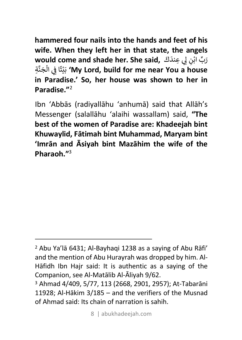**hammered four nails into the hands and feet of his wife. When they left her in that state, the angels would come and shade her. She said,** ر ب َ اب ِّ <sup>ك</sup> َ ِعند ¢ ِ[k <sup>ن</sup> ْ َ ب ‰ ت ا Z ً ال ِ[ ج m ن َ َّ ةِ**' My Lord, build for me near You a house**  ֧<u>֘</u> ْ .<br>. **in Paradise.' So, her house was shown to her in Paradise."**<sup>2</sup>

Ibn 'Abbās (radiyallāhu 'anhumā) said that Allāh's Messenger (salallāhu 'alaihi wassallam) said, **"The best of the women of Paradise are: Khadeejah bint Khuwaylid, Fātimah bint Muhammad, Maryam bint 'Imrān and Āsiyah bint Mazāhim the wife of the Pharaoh."**<sup>3</sup>

 $\overline{a}$ 

<sup>2</sup> Abu Ya'lā 6431; Al-Bayhaqi 1238 as a saying of Abu Rāfi' and the mention of Abu Hurayrah was dropped by him. Al-Hāfidh Ibn Hajr said: It is authentic as a saying of the Companion, see Al-Matālib Al-Āliyah 9/62. 3 Ahmad 4/409, 5/77, 113 (2668, 2901, 2957); At-Tabarāni

<sup>11928;</sup> Al-Hākim 3/185 – and the verifiers of the Musnad of Ahmad said: Its chain of narration is sahih.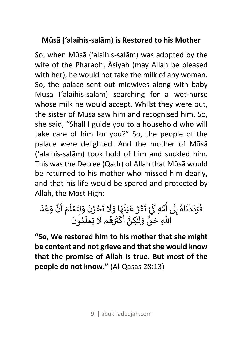## **Mūsā ('alaihis-salām) is Restored to his Mother**

So, when Mūsā ('alaihis-salām) was adopted by the wife of the Pharaoh, Āsiyah (may Allah be pleased with her), he would not take the milk of any woman. So, the palace sent out midwives along with baby Mūsā ('alaihis-salām) searching for a wet-nurse whose milk he would accept. Whilst they were out, the sister of Mūsā saw him and recognised him. So, she said, "Shall I guide you to a household who will take care of him for you?" So, the people of the palace were delighted. And the mother of Mūsā ('alaihis-salām) took hold of him and suckled him. This was the Decree (Qadr) of Allah that Mūsā would be returned to his mother who missed him dearly, and that his life would be spared and protected by Allah, the Most High:

ف َ ر د َ د َ ْ ن اە َ ِk إ ُ R أ ٰ â م ِهÏ ِّ R ] ت ْ َ ق ر َ ع َّ َ ي ن ْ ُ ه ا و َ لا َ ت َ ح َ ز ْ ن َ و َ َ ل ت ِ ع َ ل ْ R م أ َ R ن و َّ ع َ د ْ َ ا' <sup>ق</sup> َ ِ <sup>ح</sup> <sup>Ä</sup> و ٌّ َ ل َ ـ ِ ن ـ| ٰ أ َّ R Ó m cÔ َ ه َ م ُ لا ْ َ v ع َ ل ْ R م ون ُ َ

**"So, We restored him to his mother that she might be content and not grieve and that she would know that the promise of Allah is true. But most of the people do not know."** (Al-Qasas 28:13)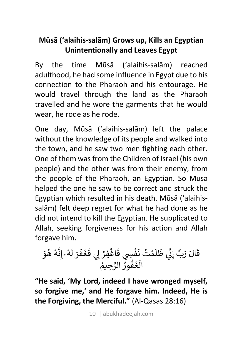## **Mūsā ('alaihis-salām) Grows up, Kills an Egyptian Unintentionally and Leaves Egypt**

By the time Mūsā ('alaihis-salām) reached adulthood, he had some influence in Egypt due to his connection to the Pharaoh and his entourage. He would travel through the land as the Pharaoh travelled and he wore the garments that he would wear, he rode as he rode.

One day, Mūsā ('alaihis-salām) left the palace without the knowledge of its people and walked into the town, and he saw two men fighting each other. One of them was from the Children of Israel (his own people) and the other was from their enemy, from the people of the Pharaoh, an Egyptian. So Mūsā helped the one he saw to be correct and struck the Egyptian which resulted in his death. Mūsā ('alaihissalām) felt deep regret for what he had done as he did not intend to kill the Egyptian. He supplicated to Allah, seeking forgiveness for his action and Allah forgave him.

ق ال َ ر َ ب َ ِÀ إ ِّ [ [ ظ ِّ R ل R <sup>ن</sup> ُ ْ <sup>ت</sup> <sup>م</sup> َ ف ف [ ِ‹ ْ اغ َ ِفر ْ ف ِ[k ْ َ غ ف َ ر َ ل َ R ه ن ِۚ إ ُ َّ ه ه ُ و ُ َ ال m غ ف َ ور ُ áم ِح َّ الر ُ ُ

**"He said, 'My Lord, indeed I have wronged myself, so forgive me,' and He forgave him. Indeed, He is the Forgiving, the Merciful."** (Al-Qasas 28:16)

10 | abukhadeejah.com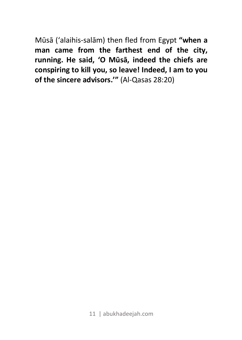Mūsā ('alaihis-salām) then fled from Egypt **"when a man came from the farthest end of the city, running. He said, 'O Mūsā, indeed the chiefs are conspiring to kill you, so leave! Indeed, I am to you of the sincere advisors.'"** (Al-Qasas 28:20)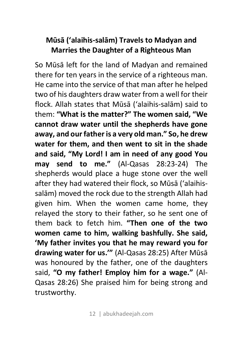## **Mūsā ('alaihis-salām) Travels to Madyan and Marries the Daughter of a Righteous Man**

So Mūsā left for the land of Madyan and remained there for ten years in the service of a righteous man. He came into the service of that man after he helped two of his daughters draw water from a well for their flock. Allah states that Mūsā ('alaihis-salām) said to them: **"What is the matter?" The women said, "We cannot draw water until the shepherds have gone away, and our father is a very old man." So, he drew water for them, and then went to sit in the shade and said, "My Lord! I am in need of any good You may send to me."** (Al-Qasas 28:23-24) The shepherds would place a huge stone over the well after they had watered their flock, so Mūsā ('alaihissalām) moved the rock due to the strength Allah had given him. When the women came home, they relayed the story to their father, so he sent one of them back to fetch him. **"Then one of the two women came to him, walking bashfully. She said, 'My father invites you that he may reward you for drawing water for us.'"** (Al-Qasas 28:25) After Mūsā was honoured by the father, one of the daughters said, **"O my father! Employ him for a wage."** (Al-Qasas 28:26) She praised him for being strong and trustworthy.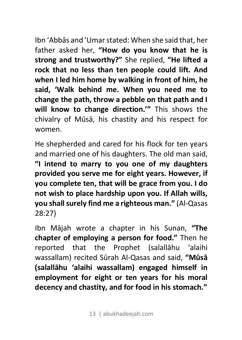Ibn 'Abbās and 'Umar stated: When she said that, her father asked her, **"How do you know that he is strong and trustworthy?"** She replied, **"He lifted a rock that no less than ten people could lift. And when I led him home by walking in front of him, he said, 'Walk behind me. When you need me to change the path, throw a pebble on that path and I will know to change direction.'"** This shows the chivalry of Mūsā, his chastity and his respect for women.

He shepherded and cared for his flock for ten years and married one of his daughters. The old man said, **"I intend to marry to you one of my daughters provided you serve me for eight years. However, if you complete ten, that will be grace from you. I do not wish to place hardship upon you. If Allah wills, you shall surely find me a righteous man."** (Al-Qasas 28:27)

Ibn Mājah wrote a chapter in his Sunan, **"The chapter of employing a person for food."** Then he reported that the Prophet (salallāhu 'alaihi wassallam) recited Sūrah Al-Qasas and said, **"Mūsā (salallāhu 'alaihi wassallam) engaged himself in employment for eight or ten years for his moral decency and chastity, and for food in his stomach."**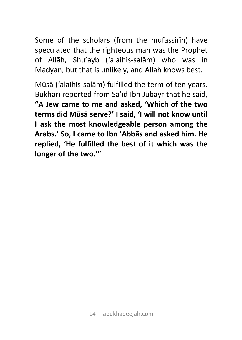Some of the scholars (from the mufassirīn) have speculated that the righteous man was the Prophet of Allāh, Shu'ayb ('alaihis-salām) who was in Madyan, but that is unlikely, and Allah knows best.

Mūsā ('alaihis-salām) fulfilled the term of ten years. Bukhārī reported from Sa'īd Ibn Jubayr that he said, **"A Jew came to me and asked, 'Which of the two terms did Mūsā serve?' I said, 'I will not know until I ask the most knowledgeable person among the Arabs.' So, I came to Ibn 'Abbās and asked him. He replied, 'He fulfilled the best of it which was the longer of the two.'"**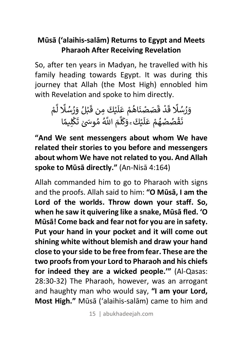## **Mūsā ('alaihis-salām) Returns to Egypt and Meets Pharaoh After Receiving Revelation**

So, after ten years in Madyan, he travelled with his family heading towards Egypt. It was during this journey that Allah (the Most High) ennobled him with Revelation and spoke to him directly.

وَرُسُلًا قَدْ قَصَصْنَاهُمْ عَلَيْكَ مِن قَبْلُ وَرُسُلًا لَّمْ َ **ّ** í َÄ ֦֧<u>֓</u> سر سے سرسید اس ص<sub>نیت ک</sub>ی من رژید<br>نَقْصُصْهُمْ عَلَيْكَ َ وَكَلَّمَ اللَّهُ مُوسَىٰ تَكْلِيمًا َ **ّ** .<br>i َ R Ä َ ,

**"And We sent messengers about whom We have related their stories to you before and messengers about whom We have not related to you. And Allah spoke to Mūsā directly."** (An-Nisā 4:164)

Allah commanded him to go to Pharaoh with signs and the proofs. Allah said to him: **"O Mūsā, I am the Lord of the worlds. Throw down your staff. So, when he saw it quivering like a snake, Mūsā fled. 'O Mūsā! Come back and fear not for you are in safety. Put your hand in your pocket and it will come out shining white without blemish and draw your hand close to your side to be free from fear. These are the two proofs from your Lord to Pharaoh and his chiefs for indeed they are a wicked people.'"** (Al-Qasas: 28:30-32) The Pharaoh, however, was an arrogant and haughty man who would say, **"I am your Lord, Most High."** Mūsā ('alaihis-salām) came to him and

15 | abukhadeejah.com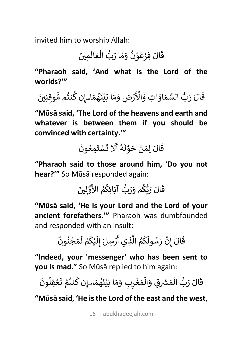invited him to worship Allah:

قَالَ فِرْعَوْنُ وَمَا رَبُّ الْعَالَمِينَ m َ

**"Pharaoh said, 'And what is the Lord of the worlds?'"**

قَالَ رَبُّ السَّمَاوَاتِ وَالْأَرْضِ وَمَا بَيْنَهُمَاۦ.إِن كُنتُم مُُوقِنِينَ ֧֚֝<u>֓</u> ֦֧֧֦֧֦֧֦֧֦֦֧ׅ֧֟֓֝֝֜֓֓<u>֚֓</u> َ ]َ

**"Mūsā said, 'The Lord of the heavens and earth and whatever is between them if you should be convinced with certainty.'"** 

قَالَ لِمَنْ حَوْلَهُ أَلَا تَسْتَمِعُونَ ֦֧<u>֝</u> R R َ

**"Pharaoh said to those around him, 'Do you not hear?'"** So Mūsā responded again:

قَالَ رَيُّكُمْ وَرَبُّ آبَائِكُمُ الْأَوَّلِينَ َ â â َّ َ

**"Mūsā said, 'He is your Lord and the Lord of your ancient forefathers.'"** Pharaoh was dumbfounded and responded with an insult:

ق ال َ إ َ نر َّ س َ ول ُ ˆ م ال ُ أ ِذي Ä ر <sup>إ</sup> َ ِسل ْ لá ْ ˆ م ل ْ م ج َ ن ْ ون ُ  $\frac{1}{2}$ R â â ِ R â R ٌ

**"Indeed, your 'messenger' who has been sent to you is mad."** So Mūsā replied to him again:

قَالَ رَبُّ الْمَشْرِقِ وَالْمَغْرِبِ وَمَا بَيْنَهُمَا*ـــ*َإِن كُنتُمْ تَعْقِلُونَ m m َ ֦֧֧֝֟֓<u>֚֓</u> َ َ َ

**"Mūsā said, 'He is the Lord of the east and the west,**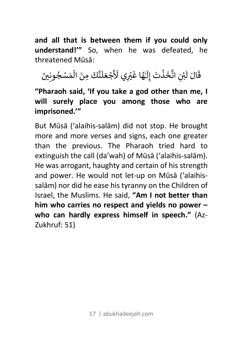**and all that is between them if you could only understand!'"** So, when he was defeated, he threatened Mūsā:

قَالَ لَئِنِ اتَّخَذْتَ إِلَيْهَا غَيْرِي لَأَجْعَلَنَّكَ مِنَ الْمَسْجُونِينَ ¢ ِ َ ـ R m َ

**"Pharaoh said, 'If you take a god other than me, I will surely place you among those who are imprisoned.'"**

But Mūsā ('alaihis-salām) did not stop. He brought more and more verses and signs, each one greater than the previous. The Pharaoh tried hard to extinguish the call (da'wah) of Mūsā ('alaihis-salām). He was arrogant, haughty and certain of his strength and power. He would not let-up on Mūsā ('alaihissalām) nor did he ease his tyranny on the Children of Israel, the Muslims. He said, **"Am I not better than him who carries no respect and yields no power – who can hardly express himself in speech."** (Az-Zukhruf: 51)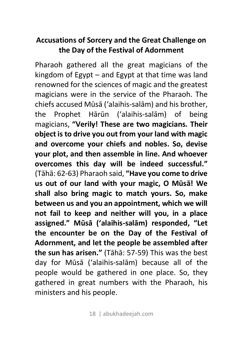#### **Accusations of Sorcery and the Great Challenge on the Day of the Festival of Adornment**

Pharaoh gathered all the great magicians of the kingdom of Egypt – and Egypt at that time was land renowned for the sciences of magic and the greatest magicians were in the service of the Pharaoh. The chiefs accused Mūsā ('alaihis-salām) and his brother, the Prophet Hārūn ('alaihis-salām) of being magicians, **"Verily! These are two magicians. Their object is to drive you out from your land with magic and overcome your chiefs and nobles. So, devise your plot, and then assemble in line. And whoever overcomes this day will be indeed successful."**  (Tāhā: 62-63) Pharaoh said, **"Have you come to drive us out of our land with your magic, O Mūsā! We shall also bring magic to match yours. So, make between us and you an appointment, which we will not fail to keep and neither will you, in a place assigned." Mūsā ('alaihis-salām) responded, "Let the encounter be on the Day of the Festival of Adornment, and let the people be assembled after the sun has arisen."** (Tāhā: 57-59) This was the best day for Mūsā ('alaihis-salām) because all of the people would be gathered in one place. So, they gathered in great numbers with the Pharaoh, his ministers and his people.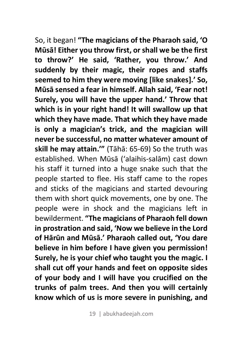So, it began! **"The magicians of the Pharaoh said, 'O Mūsā! Either you throw first, or shall we be the first to throw?' He said, 'Rather, you throw.' And suddenly by their magic, their ropes and staffs seemed to him they were moving [like snakes].' So, Mūsā sensed a fear in himself. Allah said, 'Fear not! Surely, you will have the upper hand.' Throw that which is in your right hand! It will swallow up that which they have made. That which they have made is only a magician's trick, and the magician will never be successful, no matter whatever amount of skill he may attain.'"** (Tāhā: 65-69) So the truth was established. When Mūsā ('alaihis-salām) cast down his staff it turned into a huge snake such that the people started to flee. His staff came to the ropes and sticks of the magicians and started devouring them with short quick movements, one by one. The people were in shock and the magicians left in bewilderment. **"The magicians of Pharaoh fell down in prostration and said, 'Now we believe in the Lord of Hārūn and Mūsā.' Pharaoh called out, 'You dare believe in him before I have given you permission! Surely, he is your chief who taught you the magic. I shall cut off your hands and feet on opposite sides of your body and I will have you crucified on the trunks of palm trees. And then you will certainly know which of us is more severe in punishing, and**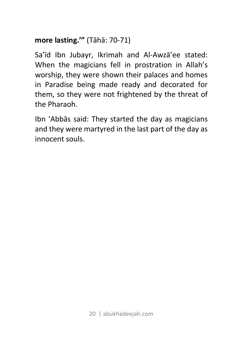## **more lasting.'"** (Tāhā: 70-71)

Sa'īd Ibn Jubayr, Ikrimah and Al-Awzā'ee stated: When the magicians fell in prostration in Allah's worship, they were shown their palaces and homes in Paradise being made ready and decorated for them, so they were not frightened by the threat of the Pharaoh.

Ibn 'Abbās said: They started the day as magicians and they were martyred in the last part of the day as innocent souls.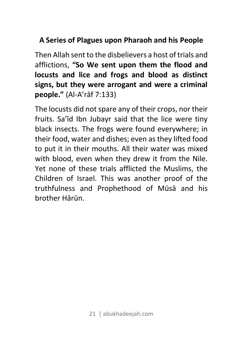#### **A Series of Plagues upon Pharaoh and his People**

Then Allah sent to the disbelievers a host of trials and afflictions, **"So We sent upon them the flood and locusts and lice and frogs and blood as distinct signs, but they were arrogant and were a criminal people."** (Al-A'rāf 7:133)

The locusts did not spare any of their crops, nor their fruits. Sa'īd Ibn Jubayr said that the lice were tiny black insects. The frogs were found everywhere; in their food, water and dishes; even as they lifted food to put it in their mouths. All their water was mixed with blood, even when they drew it from the Nile. Yet none of these trials afflicted the Muslims, the Children of Israel. This was another proof of the truthfulness and Prophethood of Mūsā and his brother Hārūn.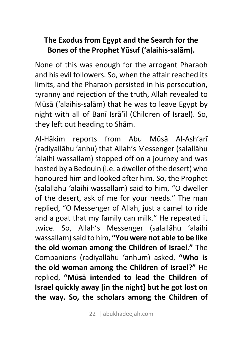## **The Exodus from Egypt and the Search for the Bones of the Prophet Yūsuf ('alaihis-salām).**

None of this was enough for the arrogant Pharaoh and his evil followers. So, when the affair reached its limits, and the Pharaoh persisted in his persecution, tyranny and rejection of the truth, Allah revealed to Mūsā ('alaihis-salām) that he was to leave Egypt by night with all of Banī Isrā'īl (Children of Israel). So, they left out heading to Shām.

Al-Hākim reports from Abu Mūsā Al-Ash'arī (radiyallāhu 'anhu) that Allah's Messenger (salallāhu 'alaihi wassallam) stopped off on a journey and was hosted by a Bedouin (i.e. a dweller of the desert) who honoured him and looked after him. So, the Prophet (salallāhu 'alaihi wassallam) said to him, "O dweller of the desert, ask of me for your needs." The man replied, "O Messenger of Allah, just a camel to ride and a goat that my family can milk." He repeated it twice. So, Allah's Messenger (salallāhu 'alaihi wassallam)said to him, **"You were not able to be like the old woman among the Children of Israel."** The Companions (radiyallāhu 'anhum) asked, **"Who is the old woman among the Children of Israel?"** He replied, **"Mūsā intended to lead the Children of Israel quickly away [in the night] but he got lost on the way. So, the scholars among the Children of**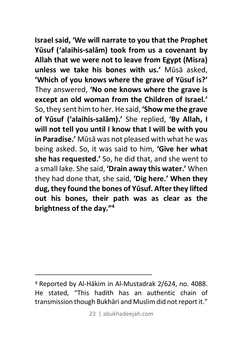**Israel said, 'We will narrate to you that the Prophet Yūsuf ('alaihis-salām) took from us a covenant by Allah that we were not to leave from Egypt (Misra) unless we take his bones with us.'** Mūsā asked, **'Which of you knows where the grave of Yūsuf is?'** They answered, **'No one knows where the grave is except an old woman from the Children of Israel.'** So,they sent him to her. He said, **'Show me the grave of Yūsuf ('alaihis-salām).'** She replied, **'By Allah, I will not tell you until I know that I will be with you in Paradise.'** Mūsā was not pleased with what he was being asked. So, it was said to him, **'Give her what she has requested.'** So, he did that, and she went to a small lake. She said, **'Drain away this water.'** When they had done that, she said, **'Dig here.' When they dug, they found the bones of Yūsuf. Afterthey lifted out his bones, their path was as clear as the brightness of the day."4**

 $\overline{a}$ 

<sup>4</sup> Reported by Al-Hākim in Al-Mustadrak 2/624, no. 4088. He stated, "This hadith has an authentic chain of transmission though Bukhāri and Muslim did not report it."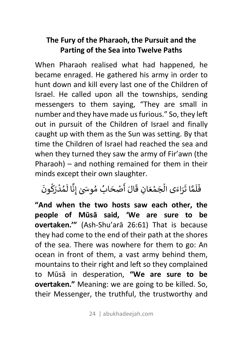## **The Fury of the Pharaoh, the Pursuit and the Parting of the Sea into Twelve Paths**

When Pharaoh realised what had happened, he became enraged. He gathered his army in order to hunt down and kill every last one of the Children of Israel. He called upon all the townships, sending messengers to them saying, "They are small in number and they have made us furious." So, they left out in pursuit of the Children of Israel and finally caught up with them as the Sun was setting. By that time the Children of Israel had reached the sea and when they turned they saw the army of Fir'awn (the Pharaoh) – and nothing remained for them in their minds except their own slaughter.

#### د<br>فَلَمَّا تَرَاءَى الْجَمْعَانِ قَالَ أَصْحَابُ مُوسَىٰ إِنَّا لَمُدْرَكُونَ َ R َ  $\frac{1}{2}$ R َ

**"And when the two hosts saw each other, the people of Mūsā said, 'We are sure to be overtaken.'"** (Ash-Shu'arā 26:61) That is because they had come to the end of their path at the shores of the sea. There was nowhere for them to go: An ocean in front of them, a vast army behind them, mountains to their right and left so they complained to Mūsā in desperation, **"We are sure to be overtaken."** Meaning: we are going to be killed. So, their Messenger, the truthful, the trustworthy and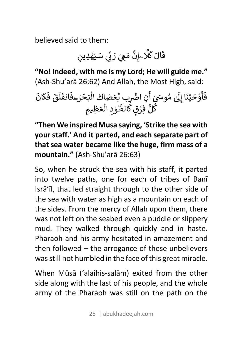believed said to them:

قَالَ كَلَّاـــِإِنَّ مَعِيَ رَبِّي سَيَهْدِينِ

**"No! Indeed, with me is my Lord; He will guide me."** (Ash-Shu'arā 26:62) And Allah, the Most High, said:

ف َ أ R و ح ْ ي َ ن ْ ِk ا إ َ وä ُ ٰ <sup>م</sup> <sup>R</sup> أ ٰ َ R ] ا· ِن ˙ ¢ب ْ ع ِّ ص َ اك َ ال َ m n ح َ ر ْ ۖ ف َ انف َ َ ل ق R ف َ َ ˆ ان R َ W ل â ِفر ُّ W ٍق ْ الط R و َّ ال ِد ْ m ع ِم َ ِظá

**"Then We inspired Musa saying, 'Strike the sea with your staff.' And it parted, and each separate part of that sea water became like the huge, firm mass of a mountain."** (Ash-Shu'arā 26:63)

So, when he struck the sea with his staff, it parted into twelve paths, one for each of tribes of Banī Isrā'īl, that led straight through to the other side of the sea with water as high as a mountain on each of the sides. From the mercy of Allah upon them, there was not left on the seabed even a puddle or slippery mud. They walked through quickly and in haste. Pharaoh and his army hesitated in amazement and then followed – the arrogance of these unbelievers was still not humbled in the face of this great miracle.

When Mūsā ('alaihis-salām) exited from the other side along with the last of his people, and the whole army of the Pharaoh was still on the path on the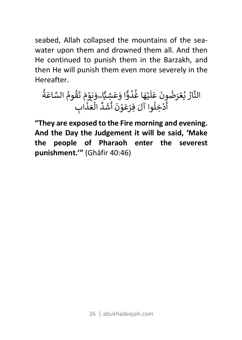seabed, Allah collapsed the mountains of the seawater upon them and drowned them all. And then He continued to punish them in the Barzakh, and then He will punish them even more severely in the Hereafter.

الن ار َّ ُ v ع ُ ون ُ َض <sup>ر</sup> ْ ع َ َ ل R ي ه ْ ا غ َ د ُ و ُ ا و ÿ ع َ á ِش َ َ اۖ و ÿ % و َ م ْ ت َ َ ق وم ُ اع َّ الس ُ ة َ ُ أ R د ل ِخ ْ ِفر َ وا آل <sup>â</sup> ع ْ و َ ن ْ أ َ R ش د َ ال َّ m ع ذ َ ِ اب َ

**"They are exposed to the Fire morning and evening. And the Day the Judgement it will be said, 'Make the people of Pharaoh enter the severest punishment.'"** (Ghāfir 40:46)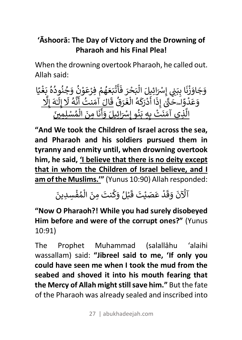# **'Āshoorā: The Day of Victory and the Drowning of Pharaoh and his Final Plea!**

When the drowning overtook Pharaoh, he called out. Allah said:

و ج َ او َ ز َ ْ ن ب ِا ب َ َ ²[ ِ( إ ِ[ ال َ ِáل ائ َ ْ m n ح َ ر ْ ف َ َ أ R ت ْ n ع َ ه َ م ُ ِفر ْ ع ْ و َ ن ْ و ُ ج َ ن ُ ود ُ ُ ە ُ ˙ غ َ ْ á ً ا و ع َ د َ و ْ x² َ اۖ <sup>ح</sup> ً َّ إ ٰ ذ ِ ا أ َ R د ر ْ َ Ó R ه ال ُ m غ ر َ ق َ ق ُ ال َ آم َ نت َ أ ُ R ن َّ ه لا ُ إ َ ل ِ َ ـ ـه ٰ إ َ لا ِ َّ ال <sup>ن</sup> َ ِذي آم <sup>Ä</sup> ت َ ْ ˙ ب ِه ِ َ ن ِ( <sup>و</sup> <sup>إ</sup> ُ <sup>و</sup> َ ِáل ائ َ ْ َ أ R ن ِ ن ام َ ال َ m م س ُ ] ِ ِمÑÖ <sup>ل</sup> ْ َ

**"And We took the Children of Israel across the sea, and Pharaoh and his soldiers pursued them in tyranny and enmity until, when drowning overtook him, he said, 'I believe that there is no deity except that in whom the Children of Israel believe, and I am of the Muslims.'"** (Yunus 10:90) Allah responded:

#### ِ<br>آلْآنَ وَقَدْ عَصَيْتَ قَبْلُ وَكُنتَ مِنَ الْمُفْسِدِينَ َ َ m َ

**"Now O Pharaoh?! While you had surely disobeyed Him before and were of the corrupt ones?"** (Yunus 10:91)

The Prophet Muhammad (salallāhu 'alaihi wassallam) said: **"Jibreel said to me, 'If only you could have seen me when I took the mud from the seabed and shoved it into his mouth fearing that the Mercy of Allah might still save him."** But the fate of the Pharaoh was already sealed and inscribed into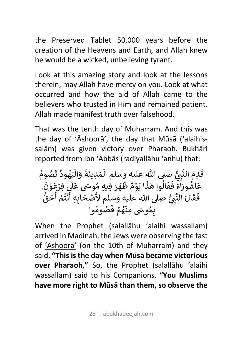the Preserved Tablet 50,000 years before the creation of the Heavens and Earth, and Allah knew he would be a wicked, unbelieving tyrant.

Look at this amazing story and look at the lessons therein, may Allah have mercy on you. Look at what occurred and how the aid of Allah came to the believers who trusted in Him and remained patient. Allah made manifest truth over falsehood.

That was the tenth day of Muharram. And this was the day of 'Āshoorā', the day that Mūsā ('alaihissalām) was given victory over Pharaoh. Bukhāri reported from Ibn 'Abbās (radiyallāhu 'anhu) that:

ق ِدم َ الن َ m علáه وسلم ال ُّ ص, - ِ [ d² َّ م ِدين َ َ ة و َ ال َ m ي ه َ ود ُ ت ُ ص َ وم ُ ُ ع اش َ ور ُ اء َ ف َ َ ق ال َ <sup>ذ</sup> َ وا <sup>ه</sup> <sup>â</sup> ا ي َ و َ م ْ ظ ٌ ه R ر َ وä ُ ِفáِه <sup>م</sup> َ ع َ َ , ِفر R ع ْ و َ ن ْ َ . ف َ ق ال َ الن َ <sup>ص</sup> َ علáه وسلم لأ ُّ ص, - ِ [ d² َّ ح ْ ا˙ َ أ ِه ِ R ن ْ ت م ُ أ ْ R ح ق َ ُّ ˙ م ِ وä ُ ِمن َ ْ ه م ُ ف ْ ص َ وم ُ وا ُ

When the Prophet (salallāhu 'alaihi wassallam) arrived in Madinah, the Jews were observing the fast of 'Āshoorā' (on the 10th of Muharram) and they said, **"This is the day when Mūsā became victorious over Pharaoh,"** So, the Prophet (salallāhu 'alaihi wassallam) said to his Companions, **"You Muslims have more right to Mūsā than them, so observe the**